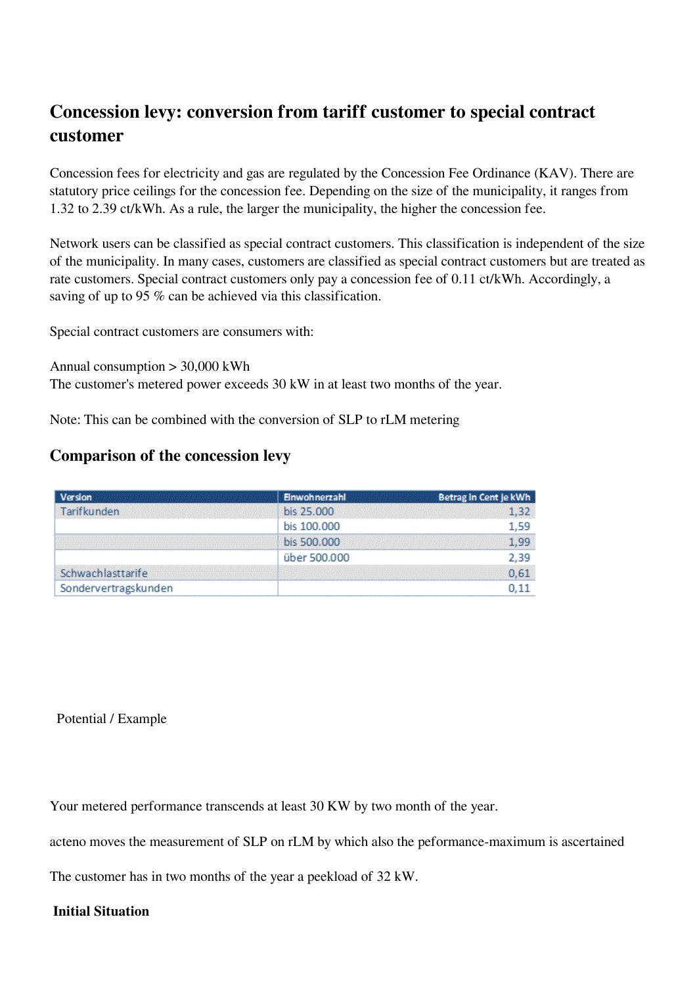## **Concession levy: conversion from tariff customer to special contract customer**

Concession fees for electricity and gas are regulated by the Concession Fee Ordinance (KAV). There are statutory price ceilings for the concession fee. Depending on the size of the municipality, it ranges from 1.32 to 2.39 ct/kWh. As a rule, the larger the municipality, the higher the concession fee.

Network users can be classified as special contract customers. This classification is independent of the size of the municipality. In many cases, customers are classified as special contract customers but are treated as rate customers. Special contract customers only pay a concession fee of 0.11 ct/kWh. Accordingly, a saving of up to 95 % can be achieved via this classification.

Special contract customers are consumers with:

Annual consumption > 30,000 kWh

The customer's metered power exceeds 30 kW in at least two months of the year.

Note: This can be combined with the conversion of SLP to rLM metering

## **Comparison of the concession levy**

| Version                                               | Einwohnerzahl | Betrag in Cent je kWh |
|-------------------------------------------------------|---------------|-----------------------|
| Tarifkunden<br>maa kale kale kale kale kale kale kale | bis 25,000    | 1.32                  |
|                                                       | bis 100.000   | 1,59                  |
|                                                       | bis 500.000   | 1,99                  |
|                                                       | über 500.000  | 2,39                  |
| Schwachlasttarife                                     |               | 0,61                  |
| Sondervertragskunden                                  |               | 0.11                  |

## Potential / Example

Your metered performance transcends at least 30 KW by two month of the year.

acteno moves the measurement of SLP on rLM by which also the peformance-maximum is ascertained

The customer has in two months of the year a peekload of 32 kW.

## **Initial Situation**